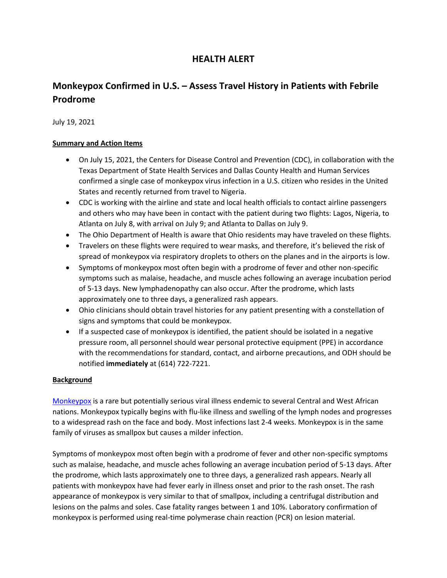# **HEALTH ALERT**

# **Monkeypox Confirmed in U.S. – Assess Travel History in Patients with Febrile Prodrome**

July 19, 2021

#### **Summary and Action Items**

- On July 15, 2021, the Centers for Disease Control and Prevention (CDC), in collaboration with the Texas Department of State Health Services and Dallas County Health and Human Services confirmed a single case of monkeypox virus infection in a U.S. citizen who resides in the United States and recently returned from travel to Nigeria.
- CDC is working with the airline and state and local health officials to contact airline passengers and others who may have been in contact with the patient during two flights: Lagos, Nigeria, to Atlanta on July 8, with arrival on July 9; and Atlanta to Dallas on July 9.
- The Ohio Department of Health is aware that Ohio residents may have traveled on these flights.
- Travelers on these flights were required to wear masks, and therefore, it's believed the risk of spread of monkeypox via respiratory droplets to others on the planes and in the airports is low.
- Symptoms of monkeypox most often begin with a prodrome of fever and other non-specific symptoms such as malaise, headache, and muscle aches following an average incubation period of 5-13 days. New lymphadenopathy can also occur. After the prodrome, which lasts approximately one to three days, a generalized rash appears.
- Ohio clinicians should obtain travel histories for any patient presenting with a constellation of signs and symptoms that could be monkeypox.
- If a suspected case of monkeypox is identified, the patient should be isolated in a negative pressure room, all personnel should wear personal protective equipment (PPE) in accordance with the recommendations for standard, contact, and airborne precautions, and ODH should be notified **immediately** at (614) 722-7221.

#### **Background**

[Monkeypox](https://www.cdc.gov/poxvirus/monkeypox/) is a rare but potentially serious viral illness endemic to several Central and West African nations. Monkeypox typically begins with flu-like illness and swelling of the lymph nodes and progresses to a widespread rash on the face and body. Most infections last 2-4 weeks. Monkeypox is in the same family of viruses as smallpox but causes a milder infection.

Symptoms of monkeypox most often begin with a prodrome of fever and other non-specific symptoms such as malaise, headache, and muscle aches following an average incubation period of 5-13 days. After the prodrome, which lasts approximately one to three days, a generalized rash appears. Nearly all patients with monkeypox have had fever early in illness onset and prior to the rash onset. The rash appearance of monkeypox is very similar to that of smallpox, including a centrifugal distribution and lesions on the palms and soles. Case fatality ranges between 1 and 10%. Laboratory confirmation of monkeypox is performed using real-time polymerase chain reaction (PCR) on lesion material.